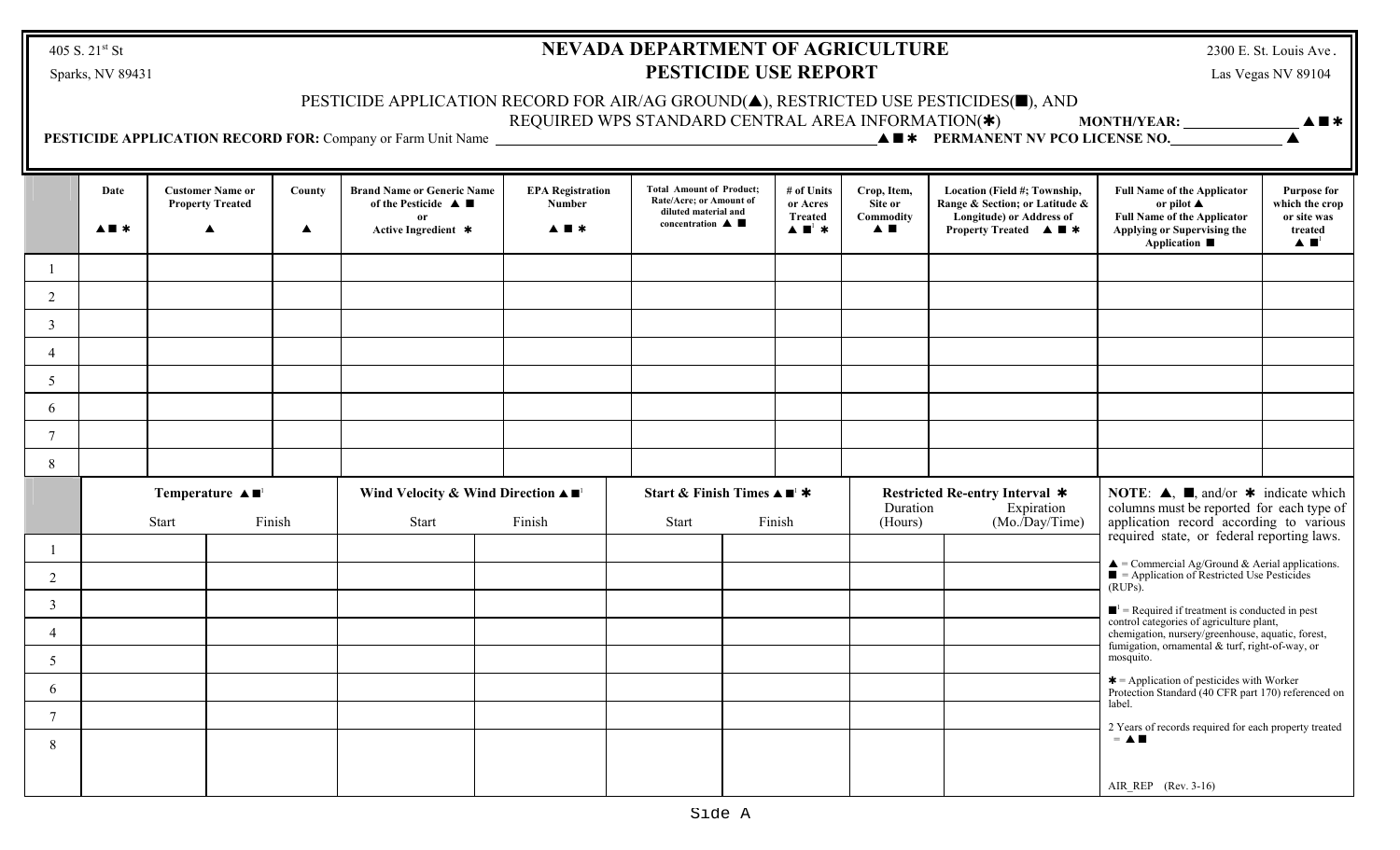405 S.  $21^{st}$  St

## **NEVADA DEPARTMENT OF AGRICULTURE** Sparks, NV 89431 **PESTICIDE USE REPORT** Las Vegas NV 89104

2300 E. St. Louis Ave.

## PESTICIDE APPLICATION RECORD FOR AIR/AG GROUND $(\blacktriangle)$ , RESTRICTED USE PESTICIDES( $\blacksquare$ ), AND

REQUIRED WPS STANDARD CENTRAL AREA INFORMATION(\*) MONTH/YEAR: **\_\_\_\_\_\_\_\_\_\_\_\_\_\_\_\_\_\_** 

 **PESTICIDE APPLICATION RECORD FOR:** Company or Farm Unit Name • <sup>r</sup> **PERMANENT NV PCO LICENSE NO.** •

|                 | Date<br>$\blacktriangle \blacksquare$              |  | <b>Customer Name or</b><br><b>Property Treated</b> | County<br>$\blacktriangle$                                                                   | <b>Brand Name or Generic Name</b><br>of the Pesticide $\triangle$<br>or<br>Active Ingredient * | <b>EPA Registration</b><br>Number<br>$\blacktriangle \blacksquare$         | <b>Total Amount of Product;</b><br>Rate/Acre; or Amount of<br>diluted material and<br>concentration $\blacktriangle$ |                                                                                       | # of Units<br>or Acres<br><b>Treated</b><br>$\blacktriangle \blacksquare$ * | Crop, Item,<br>Site or<br>Commodity<br>A E                                                                                                                                                                                         | Location (Field #; Township,<br>Range & Section; or Latitude &<br><b>Longitude) or Address of</b><br><b>Property Treated <math>\triangle \blacksquare</math></b> | <b>Full Name of the Applicator</b><br>or pilot $\blacktriangle$<br><b>Full Name of the Applicator</b><br>Applying or Supervising the<br><b>Application</b> ■ | <b>Purpose for</b><br>which the crop<br>or site was<br>treated<br>$\blacktriangle \blacksquare$ |
|-----------------|----------------------------------------------------|--|----------------------------------------------------|----------------------------------------------------------------------------------------------|------------------------------------------------------------------------------------------------|----------------------------------------------------------------------------|----------------------------------------------------------------------------------------------------------------------|---------------------------------------------------------------------------------------|-----------------------------------------------------------------------------|------------------------------------------------------------------------------------------------------------------------------------------------------------------------------------------------------------------------------------|------------------------------------------------------------------------------------------------------------------------------------------------------------------|--------------------------------------------------------------------------------------------------------------------------------------------------------------|-------------------------------------------------------------------------------------------------|
|                 |                                                    |  |                                                    |                                                                                              |                                                                                                |                                                                            |                                                                                                                      |                                                                                       |                                                                             |                                                                                                                                                                                                                                    |                                                                                                                                                                  |                                                                                                                                                              |                                                                                                 |
| 2               |                                                    |  |                                                    |                                                                                              |                                                                                                |                                                                            |                                                                                                                      |                                                                                       |                                                                             |                                                                                                                                                                                                                                    |                                                                                                                                                                  |                                                                                                                                                              |                                                                                                 |
| $\overline{3}$  |                                                    |  |                                                    |                                                                                              |                                                                                                |                                                                            |                                                                                                                      |                                                                                       |                                                                             |                                                                                                                                                                                                                                    |                                                                                                                                                                  |                                                                                                                                                              |                                                                                                 |
| $\overline{4}$  |                                                    |  |                                                    |                                                                                              |                                                                                                |                                                                            |                                                                                                                      |                                                                                       |                                                                             |                                                                                                                                                                                                                                    |                                                                                                                                                                  |                                                                                                                                                              |                                                                                                 |
| $5\overline{)}$ |                                                    |  |                                                    |                                                                                              |                                                                                                |                                                                            |                                                                                                                      |                                                                                       |                                                                             |                                                                                                                                                                                                                                    |                                                                                                                                                                  |                                                                                                                                                              |                                                                                                 |
| 6               |                                                    |  |                                                    |                                                                                              |                                                                                                |                                                                            |                                                                                                                      |                                                                                       |                                                                             |                                                                                                                                                                                                                                    |                                                                                                                                                                  |                                                                                                                                                              |                                                                                                 |
| $\tau$          |                                                    |  |                                                    |                                                                                              |                                                                                                |                                                                            |                                                                                                                      |                                                                                       |                                                                             |                                                                                                                                                                                                                                    |                                                                                                                                                                  |                                                                                                                                                              |                                                                                                 |
| 8               |                                                    |  |                                                    |                                                                                              |                                                                                                |                                                                            |                                                                                                                      |                                                                                       |                                                                             |                                                                                                                                                                                                                                    |                                                                                                                                                                  |                                                                                                                                                              |                                                                                                 |
|                 | Temperature $\blacktriangle \blacksquare$<br>Start |  | Finish                                             | Wind Velocity & Wind Direction $\blacktriangle \blacksquare$ <sup>1</sup><br>Finish<br>Start |                                                                                                | Start & Finish Times $\triangle \blacksquare^{\perp}$ *<br>Finish<br>Start |                                                                                                                      | Restricted Re-entry Interval *<br>Duration<br>Expiration<br>(Mo./Day/Time)<br>(Hours) |                                                                             | <b>NOTE:</b> $\blacktriangle$ , $\blacksquare$ , and/or $\blacktriangleright$ indicate which<br>columns must be reported for each type of<br>application record according to various<br>required state, or federal reporting laws. |                                                                                                                                                                  |                                                                                                                                                              |                                                                                                 |
|                 |                                                    |  |                                                    |                                                                                              |                                                                                                |                                                                            |                                                                                                                      |                                                                                       |                                                                             |                                                                                                                                                                                                                                    |                                                                                                                                                                  |                                                                                                                                                              |                                                                                                 |
| $\overline{2}$  |                                                    |  |                                                    |                                                                                              |                                                                                                |                                                                            |                                                                                                                      |                                                                                       |                                                                             |                                                                                                                                                                                                                                    |                                                                                                                                                                  | $\triangle$ = Commercial Ag/Ground & Aerial applications.<br>$\blacksquare$ = Application of Restricted Use Pesticides<br>$(RUPs)$ .                         |                                                                                                 |
| 3               |                                                    |  |                                                    |                                                                                              |                                                                                                |                                                                            |                                                                                                                      |                                                                                       |                                                                             |                                                                                                                                                                                                                                    |                                                                                                                                                                  | $\blacksquare$ <sup>1</sup> = Required if treatment is conducted in pest                                                                                     |                                                                                                 |
| 4               |                                                    |  |                                                    |                                                                                              |                                                                                                |                                                                            |                                                                                                                      |                                                                                       |                                                                             |                                                                                                                                                                                                                                    |                                                                                                                                                                  | control categories of agriculture plant,<br>chemigation, nursery/greenhouse, aquatic, forest,<br>fumigation, ornamental & turf, right-of-way, or             |                                                                                                 |
| 5               |                                                    |  |                                                    |                                                                                              |                                                                                                |                                                                            |                                                                                                                      |                                                                                       |                                                                             |                                                                                                                                                                                                                                    |                                                                                                                                                                  | mosquito.                                                                                                                                                    |                                                                                                 |
| 6               |                                                    |  |                                                    |                                                                                              |                                                                                                |                                                                            |                                                                                                                      |                                                                                       |                                                                             |                                                                                                                                                                                                                                    |                                                                                                                                                                  | $\textbf{*}$ = Application of pesticides with Worker<br>Protection Standard (40 CFR part 170) referenced on                                                  |                                                                                                 |
| $\tau$          |                                                    |  |                                                    |                                                                                              |                                                                                                |                                                                            |                                                                                                                      |                                                                                       |                                                                             |                                                                                                                                                                                                                                    |                                                                                                                                                                  | label.<br>2 Years of records required for each property treated                                                                                              |                                                                                                 |
| 8               |                                                    |  |                                                    |                                                                                              |                                                                                                |                                                                            |                                                                                                                      |                                                                                       |                                                                             |                                                                                                                                                                                                                                    |                                                                                                                                                                  | $=$ $\triangle$ $\blacksquare$                                                                                                                               |                                                                                                 |
|                 |                                                    |  |                                                    |                                                                                              |                                                                                                |                                                                            |                                                                                                                      |                                                                                       |                                                                             |                                                                                                                                                                                                                                    |                                                                                                                                                                  | AIR REP (Rev. 3-16)                                                                                                                                          |                                                                                                 |